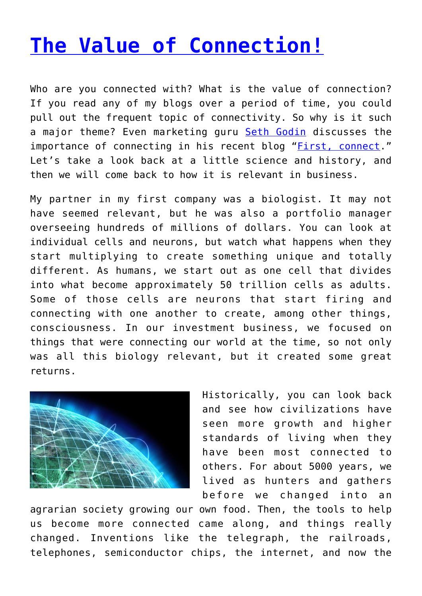## **[The Value of Connection!](http://anentrepreneurialjourney.com/the-value-of-connection/)**

Who are you connected with? What is the value of connection? If you read any of my blogs over a period of time, you could pull out the frequent topic of connectivity. So why is it such a major theme? Even marketing guru [Seth Godin](http://www.sethgodin.com/sg/bio.asp) discusses the importance of connecting in his recent blog "[First, connect](http://sethgodin.typepad.com/seths_blog/2012/08/first-connect.html)." Let's take a look back at a little science and history, and then we will come back to how it is relevant in business.

My partner in my first company was a biologist. It may not have seemed relevant, but he was also a portfolio manager overseeing hundreds of millions of dollars. You can look at individual cells and neurons, but watch what happens when they start multiplying to create something unique and totally different. As humans, we start out as one cell that divides into what become approximately 50 trillion cells as adults. Some of those cells are neurons that start firing and connecting with one another to create, among other things, consciousness. In our investment business, we focused on things that were connecting our world at the time, so not only was all this biology relevant, but it created some great returns.



Historically, you can look back and see how civilizations have seen more growth and higher standards of living when they have been most connected to others. For about 5000 years, we lived as hunters and gathers before we changed into an

agrarian society growing our own food. Then, the tools to help us become more connected came along, and things really changed. Inventions like the telegraph, the railroads, telephones, semiconductor chips, the internet, and now the